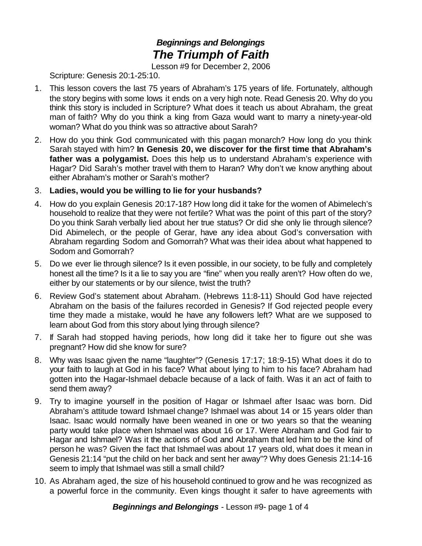## *Beginnings and Belongings The Triumph of Faith*

Lesson #9 for December 2, 2006

Scripture: Genesis 20:1-25:10.

- 1. This lesson covers the last 75 years of Abraham's 175 years of life. Fortunately, although the story begins with some lows it ends on a very high note. Read Genesis 20. Why do you think this story is included in Scripture? What does it teach us about Abraham, the great man of faith? Why do you think a king from Gaza would want to marry a ninety-year-old woman? What do you think was so attractive about Sarah?
- 2. How do you think God communicated with this pagan monarch? How long do you think Sarah stayed with him? **In Genesis 20, we discover for the first time that Abraham's father was a polygamist.** Does this help us to understand Abraham's experience with Hagar? Did Sarah's mother travel with them to Haran? Why don't we know anything about either Abraham's mother or Sarah's mother?

## 3. **Ladies, would you be willing to lie for your husbands?**

- 4. How do you explain Genesis 20:17-18? How long did it take for the women of Abimelech's household to realize that they were not fertile? What was the point of this part of the story? Do you think Sarah verbally lied about her true status? Or did she only lie through silence? Did Abimelech, or the people of Gerar, have any idea about God's conversation with Abraham regarding Sodom and Gomorrah? What was their idea about what happened to Sodom and Gomorrah?
- 5. Do we ever lie through silence? Is it even possible, in our society, to be fully and completely honest all the time? Is it a lie to say you are "fine" when you really aren't? How often do we, either by our statements or by our silence, twist the truth?
- 6. Review God's statement about Abraham. (Hebrews 11:8-11) Should God have rejected Abraham on the basis of the failures recorded in Genesis? If God rejected people every time they made a mistake, would he have any followers left? What are we supposed to learn about God from this story about lying through silence?
- 7. If Sarah had stopped having periods, how long did it take her to figure out she was pregnant? How did she know for sure?
- 8. Why was Isaac given the name "laughter"? (Genesis 17:17; 18:9-15) What does it do to your faith to laugh at God in his face? What about lying to him to his face? Abraham had gotten into the Hagar-Ishmael debacle because of a lack of faith. Was it an act of faith to send them away?
- 9. Try to imagine yourself in the position of Hagar or Ishmael after Isaac was born. Did Abraham's attitude toward Ishmael change? Ishmael was about 14 or 15 years older than Isaac. Isaac would normally have been weaned in one or two years so that the weaning party would take place when Ishmael was about 16 or 17. Were Abraham and God fair to Hagar and Ishmael? Was it the actions of God and Abraham that led him to be the kind of person he was? Given the fact that Ishmael was about 17 years old, what does it mean in Genesis 21:14 "put the child on her back and sent her away"? Why does Genesis 21:14-16 seem to imply that Ishmael was still a small child?
- 10. As Abraham aged, the size of his household continued to grow and he was recognized as a powerful force in the community. Even kings thought it safer to have agreements with

*Beginnings and Belongings* - Lesson #9- page 1 of 4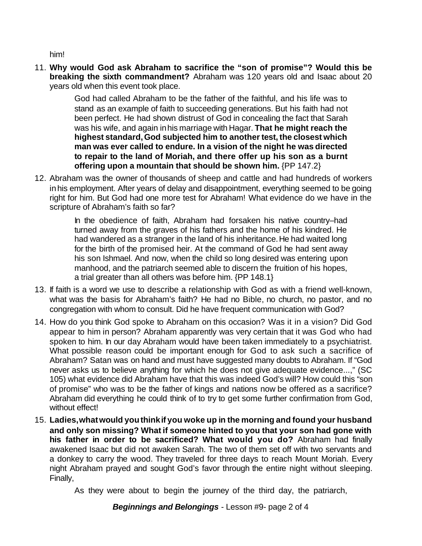him!

11. **Why would God ask Abraham to sacrifice the "son of promise"? Would this be breaking the sixth commandment?** Abraham was 120 years old and Isaac about 20 years old when this event took place.

> God had called Abraham to be the father of the faithful, and his life was to stand as an example of faith to succeeding generations. But his faith had not been perfect. He had shown distrust of God in concealing the fact that Sarah was his wife, and again inhis marriage with Hagar. **That he might reach the highest standard,God subjected him to anothertest, the closest which man was ever called to endure. In a vision of the night he was directed to repair to the land of Moriah, and there offer up his son as a burnt offering upon a mountain that should be shown him.** {PP 147.2}

12. Abraham was the owner of thousands of sheep and cattle and had hundreds of workers in his employment. After years of delay and disappointment, everything seemed to be going right for him. But God had one more test for Abraham! What evidence do we have in the scripture of Abraham's faith so far?

> In the obedience of faith, Abraham had forsaken his native country–had turned away from the graves of his fathers and the home of his kindred. He had wandered as a stranger in the land of his inheritance. He had waited long for the birth of the promised heir. At the command of God he had sent away his son Ishmael. And now, when the child so long desired was entering upon manhood, and the patriarch seemed able to discern the fruition of his hopes, a trial greater than all others was before him. {PP 148.1}

- 13. If faith is a word we use to describe a relationship with God as with a friend well-known, what was the basis for Abraham's faith? He had no Bible, no church, no pastor, and no congregation with whom to consult. Did he have frequent communication with God?
- 14. How do you think God spoke to Abraham on this occasion? Was it in a vision? Did God appear to him in person? Abraham apparently was very certain that it was God who had spoken to him. In our day Abraham would have been taken immediately to a psychiatrist. What possible reason could be important enough for God to ask such a sacrifice of Abraham? Satan was on hand and must have suggested many doubts to Abraham. If "God never asks us to believe anything for which he does not give adequate evidence...," (SC 105) what evidence did Abraham have that this was indeed God's will? How could this "son of promise" who was to be the father of kings and nations now be offered as a sacrifice? Abraham did everything he could think of to try to get some further confirmation from God, without effect!
- 15. **Ladies,whatwould youthinkif you woke up in the morning and found your husband and only son missing? What if someone hinted to you that your son had gone with his father in order to be sacrificed? What would you do?** Abraham had finally awakened Isaac but did not awaken Sarah. The two of them set off with two servants and a donkey to carry the wood. They traveled for three days to reach Mount Moriah. Every night Abraham prayed and sought God's favor through the entire night without sleeping. Finally,

As they were about to begin the journey of the third day, the patriarch,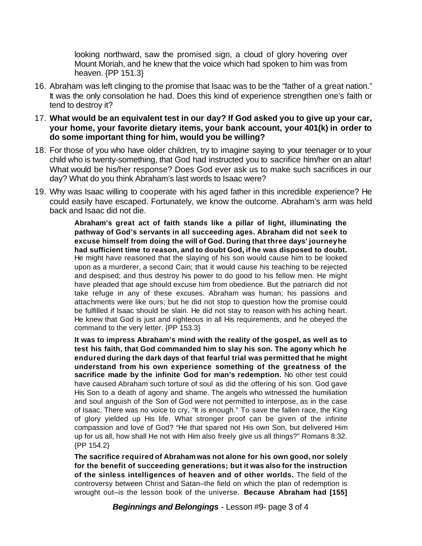looking northward, saw the promised sign, a cloud of glory hovering over Mount Moriah, and he knew that the voice which had spoken to him was from heaven. {PP 151.3}

- 16. Abraham was left clinging to the promise that Isaac was to be the "father of a great nation." It was the only consolation he had. Does this kind of experience strengthen one's faith or tend to destroy it?
- 17. **What would be an equivalent test in our day? If God asked you to give up your car, your home, your favorite dietary items, your bank account, your 401(k) in order to do some important thing for him, would you be willing?**
- 18. For those of you who have older children, try to imagine saying to your teenager or to your child who is twenty-something, that God had instructed you to sacrifice him/her on an altar! What would be his/her response? Does God ever ask us to make such sacrifices in our day? What do you think Abraham's last words to Isaac were?
- 19. Why was Isaac willing to cooperate with his aged father in this incredible experience? He could easily have escaped. Fortunately, we know the outcome. Abraham's arm was held back and Isaac did not die.

**Abraham's great act of faith stands like a pillar of light, illuminating the pathway of God's servants in all succeeding ages. Abraham did not seek to excuse himself from doing the will of God. During that three days' journeyhe had sufficient time to reason, and to doubt God, if he was disposed to doubt.** He might have reasoned that the slaying of his son would cause him to be looked upon as a murderer, a second Cain; that it would cause his teaching to be rejected and despised; and thus destroy his power to do good to his fellow men. He might have pleaded that age should excuse him from obedience. But the patriarch did not take refuge in any of these excuses. Abraham was human; his passions and attachments were like ours; but he did not stop to question how the promise could be fulfilled if Isaac should be slain. He did not stay to reason with his aching heart. He knew that God is just and righteous in all His requirements, and he obeyed the command to the very letter. {PP 153.3}

**It was to impress Abraham's mind with the reality of the gospel, as well as to test his faith, that God commanded him to slay his son. The agony which he endured during the dark days of that fearful trial was permitted that he might understand from his own experience something of the greatness of the sacrifice made by the infinite God for man's redemption.** No other test could have caused Abraham such torture of soul as did the offering of his son. God gave His Son to a death of agony and shame. The angels who witnessed the humiliation and soul anguish of the Son of God were not permitted to interpose, as in the case of Isaac. There was no voice to cry, "It is enough." To save the fallen race, the King of glory yielded up His life. What stronger proof can be given of the infinite compassion and love of God? "He that spared not His own Son, but delivered Him up for us all, how shall He not with Him also freely give us all things?" Romans 8:32. {PP 154.2}

**The sacrifice required of Abraham was not alone for his own good, nor solely for the benefit of succeeding generations; but it was also for the instruction of the sinless intelligences of heaven and of other worlds.** The field of the controversy between Christ and Satan–the field on which the plan of redemption is wrought out–is the lesson book of the universe. **Because Abraham had [155]**

*Beginnings and Belongings* - Lesson #9- page 3 of 4